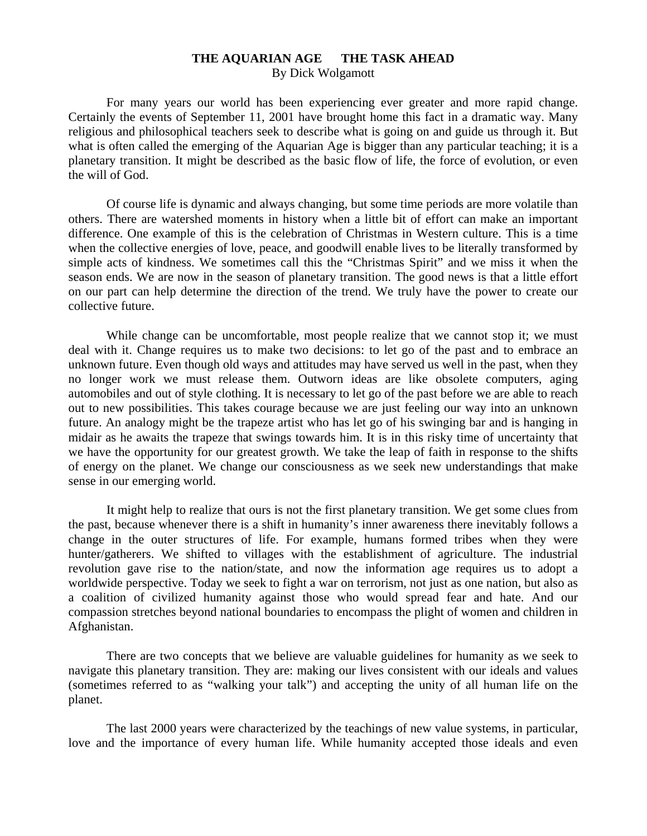## **THE AQUARIAN AGE THE TASK AHEAD**

By Dick Wolgamott

 For many years our world has been experiencing ever greater and more rapid change. Certainly the events of September 11, 2001 have brought home this fact in a dramatic way. Many religious and philosophical teachers seek to describe what is going on and guide us through it. But what is often called the emerging of the Aquarian Age is bigger than any particular teaching; it is a planetary transition. It might be described as the basic flow of life, the force of evolution, or even the will of God.

 Of course life is dynamic and always changing, but some time periods are more volatile than others. There are watershed moments in history when a little bit of effort can make an important difference. One example of this is the celebration of Christmas in Western culture. This is a time when the collective energies of love, peace, and goodwill enable lives to be literally transformed by simple acts of kindness. We sometimes call this the "Christmas Spirit" and we miss it when the season ends. We are now in the season of planetary transition. The good news is that a little effort on our part can help determine the direction of the trend. We truly have the power to create our collective future.

 While change can be uncomfortable, most people realize that we cannot stop it; we must deal with it. Change requires us to make two decisions: to let go of the past and to embrace an unknown future. Even though old ways and attitudes may have served us well in the past, when they no longer work we must release them. Outworn ideas are like obsolete computers, aging automobiles and out of style clothing. It is necessary to let go of the past before we are able to reach out to new possibilities. This takes courage because we are just feeling our way into an unknown future. An analogy might be the trapeze artist who has let go of his swinging bar and is hanging in midair as he awaits the trapeze that swings towards him. It is in this risky time of uncertainty that we have the opportunity for our greatest growth. We take the leap of faith in response to the shifts of energy on the planet. We change our consciousness as we seek new understandings that make sense in our emerging world.

 It might help to realize that ours is not the first planetary transition. We get some clues from the past, because whenever there is a shift in humanity's inner awareness there inevitably follows a change in the outer structures of life. For example, humans formed tribes when they were hunter/gatherers. We shifted to villages with the establishment of agriculture. The industrial revolution gave rise to the nation/state, and now the information age requires us to adopt a worldwide perspective. Today we seek to fight a war on terrorism, not just as one nation, but also as a coalition of civilized humanity against those who would spread fear and hate. And our compassion stretches beyond national boundaries to encompass the plight of women and children in Afghanistan.

 There are two concepts that we believe are valuable guidelines for humanity as we seek to navigate this planetary transition. They are: making our lives consistent with our ideals and values (sometimes referred to as "walking your talk") and accepting the unity of all human life on the planet.

 The last 2000 years were characterized by the teachings of new value systems, in particular, love and the importance of every human life. While humanity accepted those ideals and even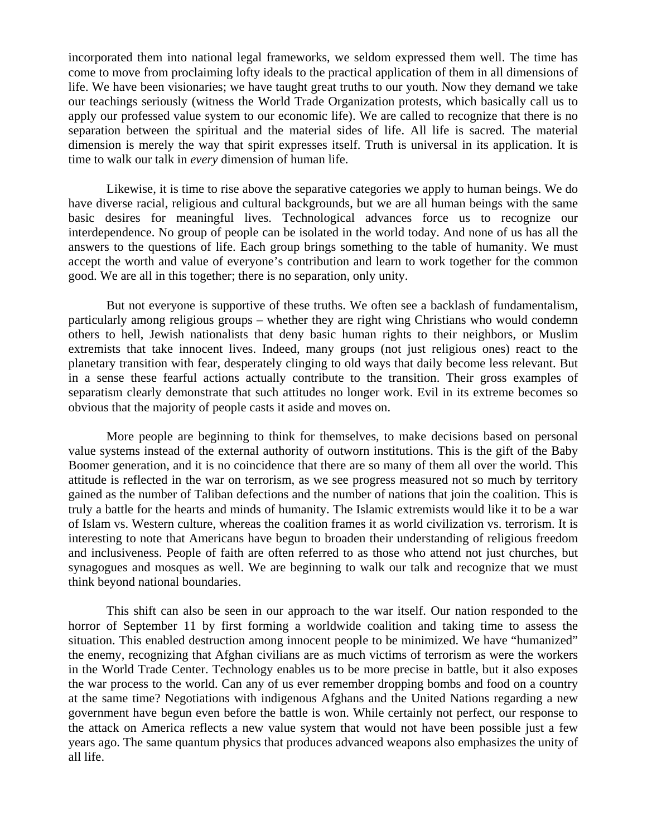incorporated them into national legal frameworks, we seldom expressed them well. The time has come to move from proclaiming lofty ideals to the practical application of them in all dimensions of life. We have been visionaries; we have taught great truths to our youth. Now they demand we take our teachings seriously (witness the World Trade Organization protests, which basically call us to apply our professed value system to our economic life). We are called to recognize that there is no separation between the spiritual and the material sides of life. All life is sacred. The material dimension is merely the way that spirit expresses itself. Truth is universal in its application. It is time to walk our talk in *every* dimension of human life.

 Likewise, it is time to rise above the separative categories we apply to human beings. We do have diverse racial, religious and cultural backgrounds, but we are all human beings with the same basic desires for meaningful lives. Technological advances force us to recognize our interdependence. No group of people can be isolated in the world today. And none of us has all the answers to the questions of life. Each group brings something to the table of humanity. We must accept the worth and value of everyone's contribution and learn to work together for the common good. We are all in this together; there is no separation, only unity.

 But not everyone is supportive of these truths. We often see a backlash of fundamentalism, particularly among religious groups – whether they are right wing Christians who would condemn others to hell, Jewish nationalists that deny basic human rights to their neighbors, or Muslim extremists that take innocent lives. Indeed, many groups (not just religious ones) react to the planetary transition with fear, desperately clinging to old ways that daily become less relevant. But in a sense these fearful actions actually contribute to the transition. Their gross examples of separatism clearly demonstrate that such attitudes no longer work. Evil in its extreme becomes so obvious that the majority of people casts it aside and moves on.

 More people are beginning to think for themselves, to make decisions based on personal value systems instead of the external authority of outworn institutions. This is the gift of the Baby Boomer generation, and it is no coincidence that there are so many of them all over the world. This attitude is reflected in the war on terrorism, as we see progress measured not so much by territory gained as the number of Taliban defections and the number of nations that join the coalition. This is truly a battle for the hearts and minds of humanity. The Islamic extremists would like it to be a war of Islam vs. Western culture, whereas the coalition frames it as world civilization vs. terrorism. It is interesting to note that Americans have begun to broaden their understanding of religious freedom and inclusiveness. People of faith are often referred to as those who attend not just churches, but synagogues and mosques as well. We are beginning to walk our talk and recognize that we must think beyond national boundaries.

 This shift can also be seen in our approach to the war itself. Our nation responded to the horror of September 11 by first forming a worldwide coalition and taking time to assess the situation. This enabled destruction among innocent people to be minimized. We have "humanized" the enemy, recognizing that Afghan civilians are as much victims of terrorism as were the workers in the World Trade Center. Technology enables us to be more precise in battle, but it also exposes the war process to the world. Can any of us ever remember dropping bombs and food on a country at the same time? Negotiations with indigenous Afghans and the United Nations regarding a new government have begun even before the battle is won. While certainly not perfect, our response to the attack on America reflects a new value system that would not have been possible just a few years ago. The same quantum physics that produces advanced weapons also emphasizes the unity of all life.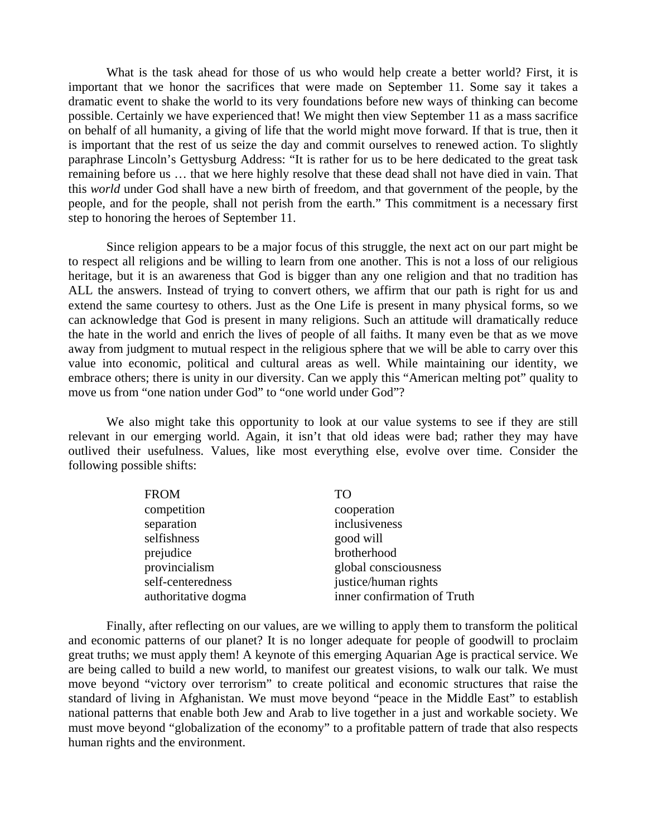What is the task ahead for those of us who would help create a better world? First, it is important that we honor the sacrifices that were made on September 11. Some say it takes a dramatic event to shake the world to its very foundations before new ways of thinking can become possible. Certainly we have experienced that! We might then view September 11 as a mass sacrifice on behalf of all humanity, a giving of life that the world might move forward. If that is true, then it is important that the rest of us seize the day and commit ourselves to renewed action. To slightly paraphrase Lincoln's Gettysburg Address: "It is rather for us to be here dedicated to the great task remaining before us … that we here highly resolve that these dead shall not have died in vain. That this *world* under God shall have a new birth of freedom, and that government of the people, by the people, and for the people, shall not perish from the earth." This commitment is a necessary first step to honoring the heroes of September 11.

 Since religion appears to be a major focus of this struggle, the next act on our part might be to respect all religions and be willing to learn from one another. This is not a loss of our religious heritage, but it is an awareness that God is bigger than any one religion and that no tradition has ALL the answers. Instead of trying to convert others, we affirm that our path is right for us and extend the same courtesy to others. Just as the One Life is present in many physical forms, so we can acknowledge that God is present in many religions. Such an attitude will dramatically reduce the hate in the world and enrich the lives of people of all faiths. It many even be that as we move away from judgment to mutual respect in the religious sphere that we will be able to carry over this value into economic, political and cultural areas as well. While maintaining our identity, we embrace others; there is unity in our diversity. Can we apply this "American melting pot" quality to move us from "one nation under God" to "one world under God"?

 We also might take this opportunity to look at our value systems to see if they are still relevant in our emerging world. Again, it isn't that old ideas were bad; rather they may have outlived their usefulness. Values, like most everything else, evolve over time. Consider the following possible shifts:

| <b>FROM</b>         | TО                          |
|---------------------|-----------------------------|
| competition         | cooperation                 |
| separation          | inclusiveness               |
| selfishness         | good will                   |
| prejudice           | brotherhood                 |
| provincialism       | global consciousness        |
| self-centeredness   | justice/human rights        |
| authoritative dogma | inner confirmation of Truth |
|                     |                             |

 Finally, after reflecting on our values, are we willing to apply them to transform the political and economic patterns of our planet? It is no longer adequate for people of goodwill to proclaim great truths; we must apply them! A keynote of this emerging Aquarian Age is practical service. We are being called to build a new world, to manifest our greatest visions, to walk our talk. We must move beyond "victory over terrorism" to create political and economic structures that raise the standard of living in Afghanistan. We must move beyond "peace in the Middle East" to establish national patterns that enable both Jew and Arab to live together in a just and workable society. We must move beyond "globalization of the economy" to a profitable pattern of trade that also respects human rights and the environment.